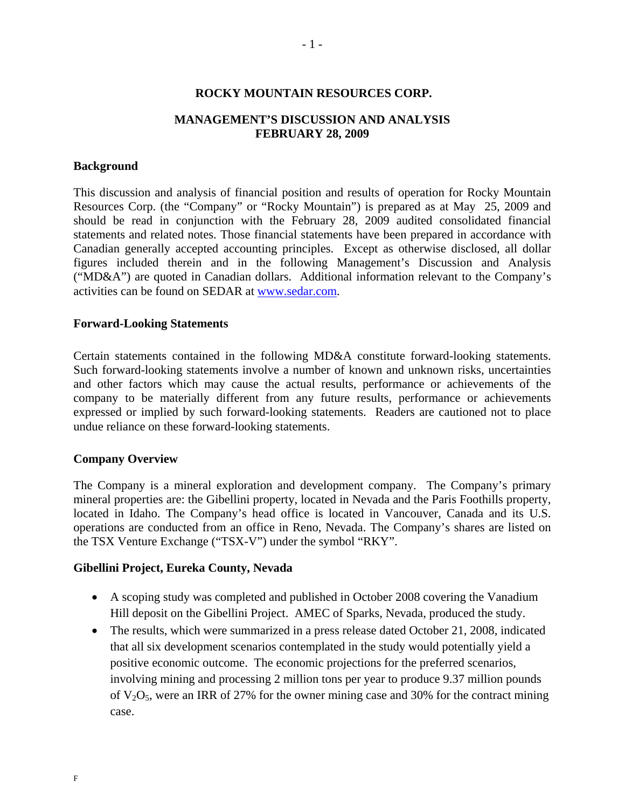#### **ROCKY MOUNTAIN RESOURCES CORP.**

### **MANAGEMENT'S DISCUSSION AND ANALYSIS FEBRUARY 28, 2009**

#### **Background**

This discussion and analysis of financial position and results of operation for Rocky Mountain Resources Corp. (the "Company" or "Rocky Mountain") is prepared as at May 25, 2009 and should be read in conjunction with the February 28, 2009 audited consolidated financial statements and related notes. Those financial statements have been prepared in accordance with Canadian generally accepted accounting principles. Except as otherwise disclosed, all dollar figures included therein and in the following Management's Discussion and Analysis ("MD&A") are quoted in Canadian dollars. Additional information relevant to the Company's activities can be found on SEDAR at www.sedar.com.

#### **Forward-Looking Statements**

Certain statements contained in the following MD&A constitute forward-looking statements. Such forward-looking statements involve a number of known and unknown risks, uncertainties and other factors which may cause the actual results, performance or achievements of the company to be materially different from any future results, performance or achievements expressed or implied by such forward-looking statements. Readers are cautioned not to place undue reliance on these forward-looking statements.

#### **Company Overview**

The Company is a mineral exploration and development company. The Company's primary mineral properties are: the Gibellini property, located in Nevada and the Paris Foothills property, located in Idaho. The Company's head office is located in Vancouver, Canada and its U.S. operations are conducted from an office in Reno, Nevada. The Company's shares are listed on the TSX Venture Exchange ("TSX-V") under the symbol "RKY".

#### **Gibellini Project, Eureka County, Nevada**

- A scoping study was completed and published in October 2008 covering the Vanadium Hill deposit on the Gibellini Project. AMEC of Sparks, Nevada, produced the study.
- The results, which were summarized in a press release dated October 21, 2008, indicated that all six development scenarios contemplated in the study would potentially yield a positive economic outcome. The economic projections for the preferred scenarios, involving mining and processing 2 million tons per year to produce 9.37 million pounds of  $V_2O_5$ , were an IRR of 27% for the owner mining case and 30% for the contract mining case.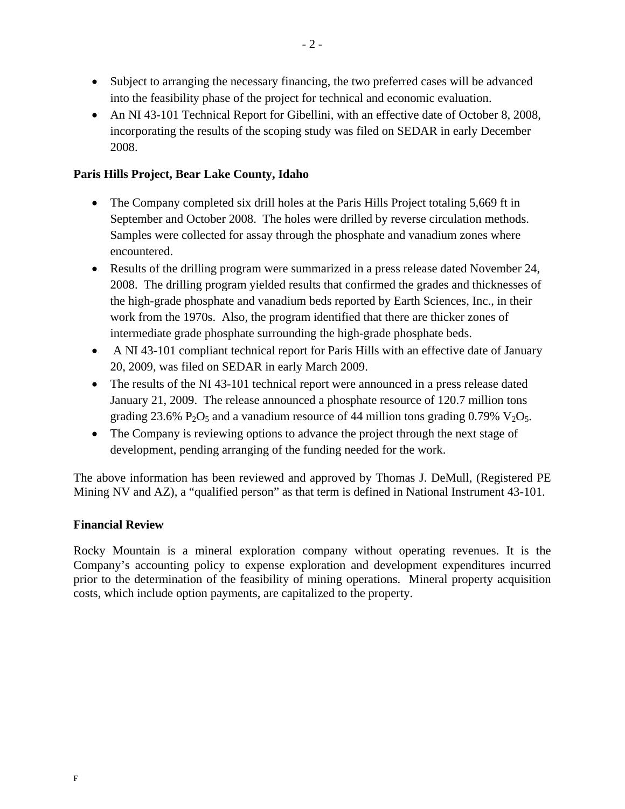- Subject to arranging the necessary financing, the two preferred cases will be advanced into the feasibility phase of the project for technical and economic evaluation.
- An NI 43-101 Technical Report for Gibellini, with an effective date of October 8, 2008, incorporating the results of the scoping study was filed on SEDAR in early December 2008.

# **Paris Hills Project, Bear Lake County, Idaho**

- The Company completed six drill holes at the Paris Hills Project totaling 5,669 ft in September and October 2008. The holes were drilled by reverse circulation methods. Samples were collected for assay through the phosphate and vanadium zones where encountered.
- Results of the drilling program were summarized in a press release dated November 24, 2008. The drilling program yielded results that confirmed the grades and thicknesses of the high-grade phosphate and vanadium beds reported by Earth Sciences, Inc., in their work from the 1970s. Also, the program identified that there are thicker zones of intermediate grade phosphate surrounding the high-grade phosphate beds.
- A NI 43-101 compliant technical report for Paris Hills with an effective date of January 20, 2009, was filed on SEDAR in early March 2009.
- The results of the NI 43-101 technical report were announced in a press release dated January 21, 2009. The release announced a phosphate resource of 120.7 million tons grading 23.6% P<sub>2</sub>O<sub>5</sub> and a vanadium resource of 44 million tons grading 0.79% V<sub>2</sub>O<sub>5</sub>.
- The Company is reviewing options to advance the project through the next stage of development, pending arranging of the funding needed for the work.

The above information has been reviewed and approved by Thomas J. DeMull, (Registered PE Mining NV and AZ), a "qualified person" as that term is defined in National Instrument 43-101.

## **Financial Review**

Rocky Mountain is a mineral exploration company without operating revenues. It is the Company's accounting policy to expense exploration and development expenditures incurred prior to the determination of the feasibility of mining operations. Mineral property acquisition costs, which include option payments, are capitalized to the property.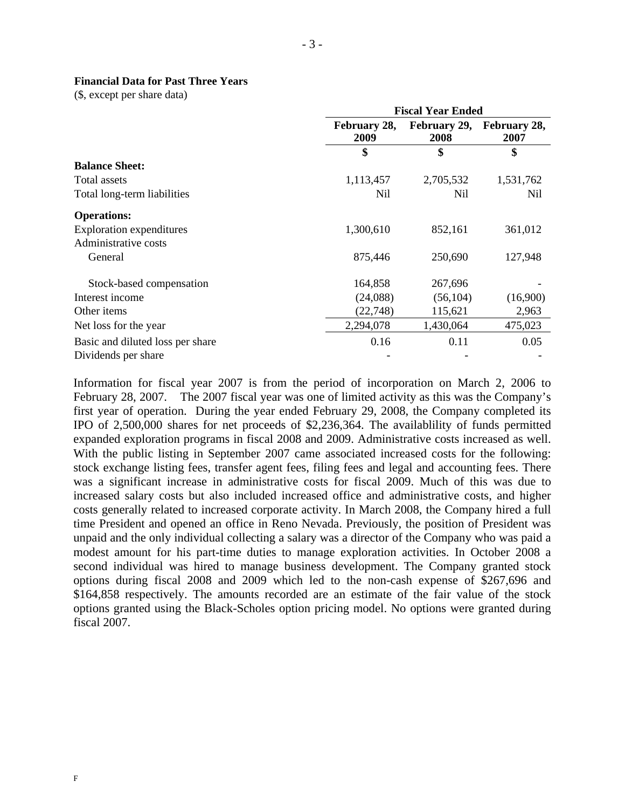#### **Financial Data for Past Three Years**

(\$, except per share data)

|                                  |                      | <b>Fiscal Year Ended</b> |                                   |  |  |
|----------------------------------|----------------------|--------------------------|-----------------------------------|--|--|
|                                  | February 28,<br>2009 | 2008                     | February 29, February 28,<br>2007 |  |  |
|                                  | \$                   | \$                       | \$                                |  |  |
| <b>Balance Sheet:</b>            |                      |                          |                                   |  |  |
| Total assets                     | 1,113,457            | 2,705,532                | 1,531,762                         |  |  |
| Total long-term liabilities      | Nil                  | Nil                      | Nil                               |  |  |
| <b>Operations:</b>               |                      |                          |                                   |  |  |
| <b>Exploration expenditures</b>  | 1,300,610            | 852,161                  | 361,012                           |  |  |
| Administrative costs             |                      |                          |                                   |  |  |
| General                          | 875,446              | 250,690                  | 127,948                           |  |  |
| Stock-based compensation         | 164,858              | 267,696                  |                                   |  |  |
| Interest income                  | (24,088)             | (56, 104)                | (16,900)                          |  |  |
| Other items                      | (22, 748)            | 115,621                  | 2,963                             |  |  |
| Net loss for the year            | 2,294,078            | 1,430,064                | 475,023                           |  |  |
| Basic and diluted loss per share | 0.16                 | 0.11                     | 0.05                              |  |  |
| Dividends per share              |                      |                          |                                   |  |  |

Information for fiscal year 2007 is from the period of incorporation on March 2, 2006 to February 28, 2007. The 2007 fiscal year was one of limited activity as this was the Company's first year of operation. During the year ended February 29, 2008, the Company completed its IPO of 2,500,000 shares for net proceeds of \$2,236,364. The availablility of funds permitted expanded exploration programs in fiscal 2008 and 2009. Administrative costs increased as well. With the public listing in September 2007 came associated increased costs for the following: stock exchange listing fees, transfer agent fees, filing fees and legal and accounting fees. There was a significant increase in administrative costs for fiscal 2009. Much of this was due to increased salary costs but also included increased office and administrative costs, and higher costs generally related to increased corporate activity. In March 2008, the Company hired a full time President and opened an office in Reno Nevada. Previously, the position of President was unpaid and the only individual collecting a salary was a director of the Company who was paid a modest amount for his part-time duties to manage exploration activities. In October 2008 a second individual was hired to manage business development. The Company granted stock options during fiscal 2008 and 2009 which led to the non-cash expense of \$267,696 and \$164,858 respectively. The amounts recorded are an estimate of the fair value of the stock options granted using the Black-Scholes option pricing model. No options were granted during fiscal 2007.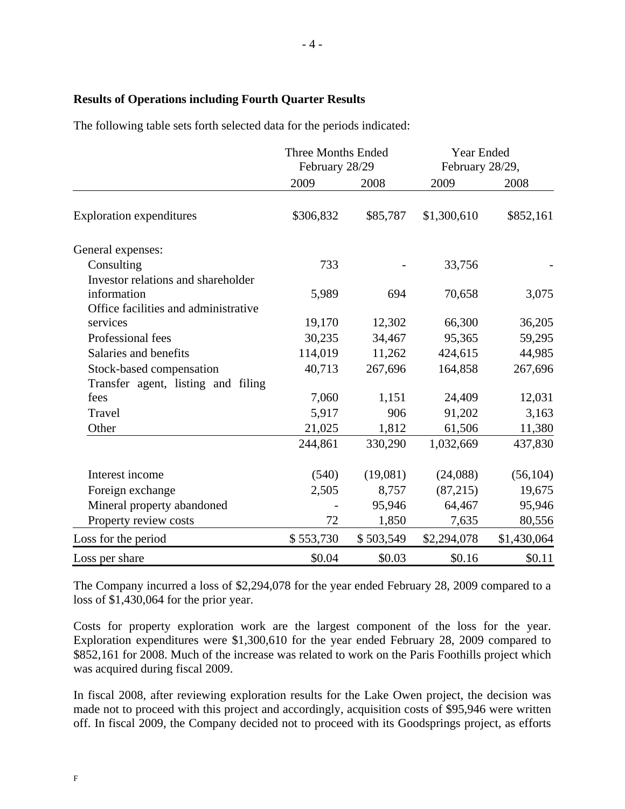## **Results of Operations including Fourth Quarter Results**

The following table sets forth selected data for the periods indicated:

|                                      | <b>Three Months Ended</b><br>February 28/29 |           | Year Ended<br>February 28/29, |             |
|--------------------------------------|---------------------------------------------|-----------|-------------------------------|-------------|
|                                      | 2009                                        | 2008      | 2009                          | 2008        |
| <b>Exploration expenditures</b>      | \$306,832                                   | \$85,787  | \$1,300,610                   | \$852,161   |
| General expenses:                    |                                             |           |                               |             |
| Consulting                           | 733                                         |           | 33,756                        |             |
| Investor relations and shareholder   |                                             |           |                               |             |
| information                          | 5,989                                       | 694       | 70,658                        | 3,075       |
| Office facilities and administrative |                                             |           |                               |             |
| services                             | 19,170                                      | 12,302    | 66,300                        | 36,205      |
| Professional fees                    | 30,235                                      | 34,467    | 95,365                        | 59,295      |
| Salaries and benefits                | 114,019                                     | 11,262    | 424,615                       | 44,985      |
| Stock-based compensation             | 40,713                                      | 267,696   | 164,858                       | 267,696     |
| Transfer agent, listing and filing   |                                             |           |                               |             |
| fees                                 | 7,060                                       | 1,151     | 24,409                        | 12,031      |
| Travel                               | 5,917                                       | 906       | 91,202                        | 3,163       |
| Other                                | 21,025                                      | 1,812     | 61,506                        | 11,380      |
|                                      | 244,861                                     | 330,290   | 1,032,669                     | 437,830     |
| Interest income                      | (540)                                       | (19,081)  | (24,088)                      | (56, 104)   |
| Foreign exchange                     | 2,505                                       | 8,757     | (87,215)                      | 19,675      |
| Mineral property abandoned           |                                             | 95,946    | 64,467                        | 95,946      |
| Property review costs                | 72                                          | 1,850     | 7,635                         | 80,556      |
| Loss for the period                  | \$553,730                                   | \$503,549 | \$2,294,078                   | \$1,430,064 |
| Loss per share                       | \$0.04                                      | \$0.03    | \$0.16                        | \$0.11      |

The Company incurred a loss of \$2,294,078 for the year ended February 28, 2009 compared to a loss of \$1,430,064 for the prior year.

Costs for property exploration work are the largest component of the loss for the year. Exploration expenditures were \$1,300,610 for the year ended February 28, 2009 compared to \$852,161 for 2008. Much of the increase was related to work on the Paris Foothills project which was acquired during fiscal 2009.

In fiscal 2008, after reviewing exploration results for the Lake Owen project, the decision was made not to proceed with this project and accordingly, acquisition costs of \$95,946 were written off. In fiscal 2009, the Company decided not to proceed with its Goodsprings project, as efforts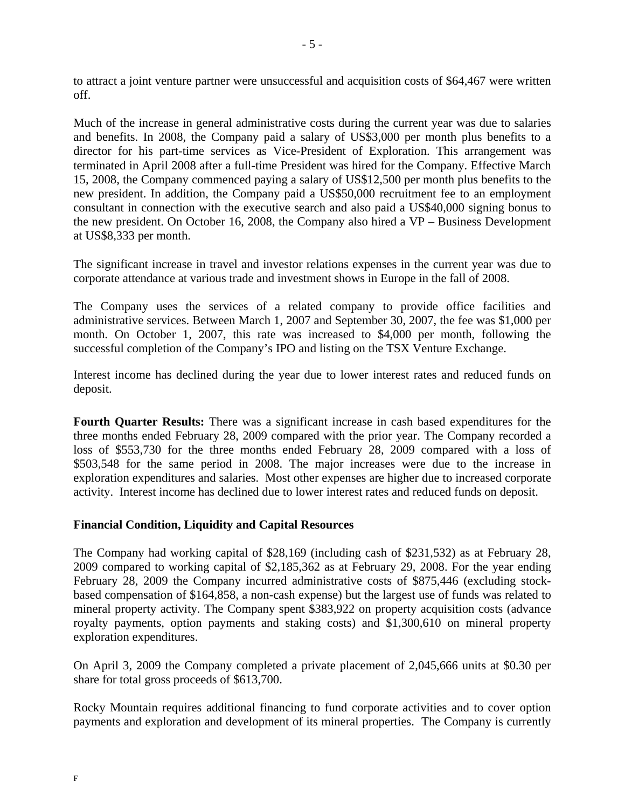to attract a joint venture partner were unsuccessful and acquisition costs of \$64,467 were written off.

Much of the increase in general administrative costs during the current year was due to salaries and benefits. In 2008, the Company paid a salary of US\$3,000 per month plus benefits to a director for his part-time services as Vice-President of Exploration. This arrangement was terminated in April 2008 after a full-time President was hired for the Company. Effective March 15, 2008, the Company commenced paying a salary of US\$12,500 per month plus benefits to the new president. In addition, the Company paid a US\$50,000 recruitment fee to an employment consultant in connection with the executive search and also paid a US\$40,000 signing bonus to the new president. On October 16, 2008, the Company also hired a VP – Business Development at US\$8,333 per month.

The significant increase in travel and investor relations expenses in the current year was due to corporate attendance at various trade and investment shows in Europe in the fall of 2008.

The Company uses the services of a related company to provide office facilities and administrative services. Between March 1, 2007 and September 30, 2007, the fee was \$1,000 per month. On October 1, 2007, this rate was increased to \$4,000 per month, following the successful completion of the Company's IPO and listing on the TSX Venture Exchange.

Interest income has declined during the year due to lower interest rates and reduced funds on deposit.

**Fourth Quarter Results:** There was a significant increase in cash based expenditures for the three months ended February 28, 2009 compared with the prior year. The Company recorded a loss of \$553,730 for the three months ended February 28, 2009 compared with a loss of \$503,548 for the same period in 2008. The major increases were due to the increase in exploration expenditures and salaries. Most other expenses are higher due to increased corporate activity. Interest income has declined due to lower interest rates and reduced funds on deposit.

## **Financial Condition, Liquidity and Capital Resources**

The Company had working capital of \$28,169 (including cash of \$231,532) as at February 28, 2009 compared to working capital of \$2,185,362 as at February 29, 2008. For the year ending February 28, 2009 the Company incurred administrative costs of \$875,446 (excluding stockbased compensation of \$164,858, a non-cash expense) but the largest use of funds was related to mineral property activity. The Company spent \$383,922 on property acquisition costs (advance royalty payments, option payments and staking costs) and \$1,300,610 on mineral property exploration expenditures.

On April 3, 2009 the Company completed a private placement of 2,045,666 units at \$0.30 per share for total gross proceeds of \$613,700.

Rocky Mountain requires additional financing to fund corporate activities and to cover option payments and exploration and development of its mineral properties. The Company is currently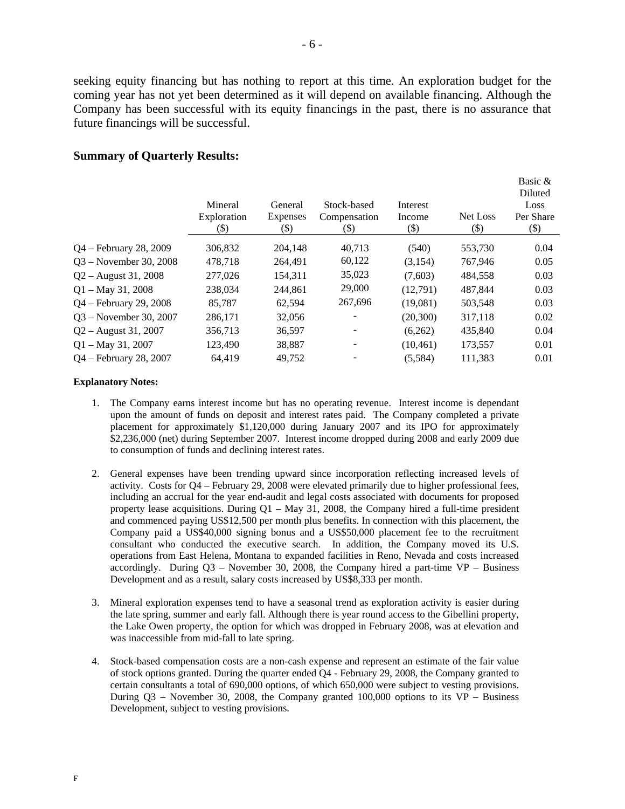seeking equity financing but has nothing to report at this time. An exploration budget for the coming year has not yet been determined as it will depend on available financing. Although the Company has been successful with its equity financings in the past, there is no assurance that future financings will be successful.

#### **Summary of Quarterly Results:**

|                          | Mineral<br>Exploration<br>(\$) | General<br><b>Expenses</b><br>$(\boldsymbol{\$})$ | Stock-based<br>Compensation<br>$(\$)$ | Interest<br>Income<br>$(\$)$ | Net Loss<br>(\$) | Basic &<br>Diluted<br>Loss<br>Per Share<br>$(\$)$ |
|--------------------------|--------------------------------|---------------------------------------------------|---------------------------------------|------------------------------|------------------|---------------------------------------------------|
| $Q4$ – February 28, 2009 | 306,832                        | 204,148                                           | 40.713                                | (540)                        | 553,730          | 0.04                                              |
| $Q3$ – November 30, 2008 | 478,718                        | 264.491                                           | 60,122                                | (3,154)                      | 767.946          | 0.05                                              |
| $Q2 -$ August 31, 2008   | 277,026                        | 154,311                                           | 35,023                                | (7,603)                      | 484,558          | 0.03                                              |
| $Q1 - May 31, 2008$      | 238,034                        | 244.861                                           | 29,000                                | (12,791)                     | 487.844          | 0.03                                              |
| $Q4$ – February 29, 2008 | 85,787                         | 62,594                                            | 267,696                               | (19,081)                     | 503,548          | 0.03                                              |
| $Q3$ – November 30, 2007 | 286,171                        | 32,056                                            |                                       | (20, 300)                    | 317.118          | 0.02                                              |
| $Q2 -$ August 31, 2007   | 356,713                        | 36,597                                            |                                       | (6,262)                      | 435,840          | 0.04                                              |
| $Q1 - May 31, 2007$      | 123,490                        | 38,887                                            |                                       | (10, 461)                    | 173,557          | 0.01                                              |
| Q4 – February 28, 2007   | 64,419                         | 49.752                                            |                                       | (5,584)                      | 111,383          | 0.01                                              |

#### **Explanatory Notes:**

- 1. The Company earns interest income but has no operating revenue. Interest income is dependant upon the amount of funds on deposit and interest rates paid. The Company completed a private placement for approximately \$1,120,000 during January 2007 and its IPO for approximately \$2,236,000 (net) during September 2007. Interest income dropped during 2008 and early 2009 due to consumption of funds and declining interest rates.
- 2. General expenses have been trending upward since incorporation reflecting increased levels of activity. Costs for Q4 – February 29, 2008 were elevated primarily due to higher professional fees, including an accrual for the year end-audit and legal costs associated with documents for proposed property lease acquisitions. During  $Q1 - May 31$ , 2008, the Company hired a full-time president and commenced paying US\$12,500 per month plus benefits. In connection with this placement, the Company paid a US\$40,000 signing bonus and a US\$50,000 placement fee to the recruitment consultant who conducted the executive search. In addition, the Company moved its U.S. operations from East Helena, Montana to expanded facilities in Reno, Nevada and costs increased accordingly. During  $Q3$  – November 30, 2008, the Company hired a part-time VP – Business Development and as a result, salary costs increased by US\$8,333 per month.
- 3. Mineral exploration expenses tend to have a seasonal trend as exploration activity is easier during the late spring, summer and early fall. Although there is year round access to the Gibellini property, the Lake Owen property, the option for which was dropped in February 2008, was at elevation and was inaccessible from mid-fall to late spring.
- 4. Stock-based compensation costs are a non-cash expense and represent an estimate of the fair value of stock options granted. During the quarter ended Q4 - February 29, 2008, the Company granted to certain consultants a total of 690,000 options, of which 650,000 were subject to vesting provisions. During Q3 – November 30, 2008, the Company granted 100,000 options to its VP – Business Development, subject to vesting provisions.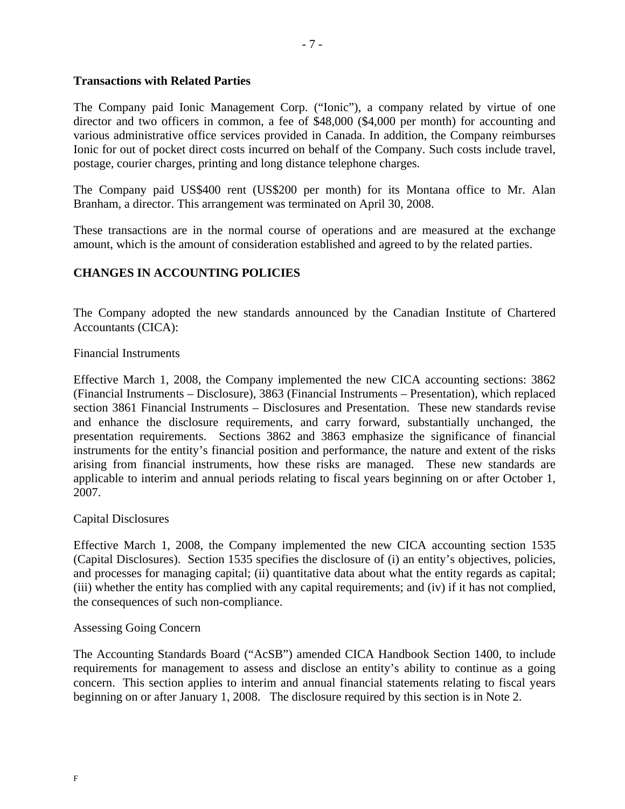## **Transactions with Related Parties**

The Company paid Ionic Management Corp. ("Ionic"), a company related by virtue of one director and two officers in common, a fee of \$48,000 (\$4,000 per month) for accounting and various administrative office services provided in Canada. In addition, the Company reimburses Ionic for out of pocket direct costs incurred on behalf of the Company. Such costs include travel, postage, courier charges, printing and long distance telephone charges.

The Company paid US\$400 rent (US\$200 per month) for its Montana office to Mr. Alan Branham, a director. This arrangement was terminated on April 30, 2008.

These transactions are in the normal course of operations and are measured at the exchange amount, which is the amount of consideration established and agreed to by the related parties.

# **CHANGES IN ACCOUNTING POLICIES**

The Company adopted the new standards announced by the Canadian Institute of Chartered Accountants (CICA):

#### Financial Instruments

Effective March 1, 2008, the Company implemented the new CICA accounting sections: 3862 (Financial Instruments – Disclosure), 3863 (Financial Instruments – Presentation), which replaced section 3861 Financial Instruments – Disclosures and Presentation. These new standards revise and enhance the disclosure requirements, and carry forward, substantially unchanged, the presentation requirements. Sections 3862 and 3863 emphasize the significance of financial instruments for the entity's financial position and performance, the nature and extent of the risks arising from financial instruments, how these risks are managed. These new standards are applicable to interim and annual periods relating to fiscal years beginning on or after October 1, 2007.

#### Capital Disclosures

Effective March 1, 2008, the Company implemented the new CICA accounting section 1535 (Capital Disclosures). Section 1535 specifies the disclosure of (i) an entity's objectives, policies, and processes for managing capital; (ii) quantitative data about what the entity regards as capital; (iii) whether the entity has complied with any capital requirements; and (iv) if it has not complied, the consequences of such non-compliance.

#### Assessing Going Concern

The Accounting Standards Board ("AcSB") amended CICA Handbook Section 1400, to include requirements for management to assess and disclose an entity's ability to continue as a going concern. This section applies to interim and annual financial statements relating to fiscal years beginning on or after January 1, 2008. The disclosure required by this section is in Note 2.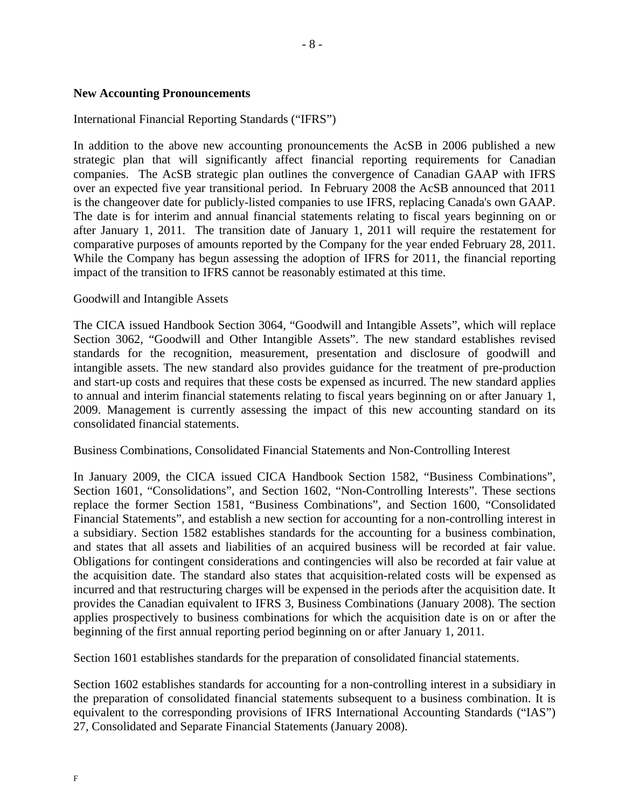## **New Accounting Pronouncements**

## International Financial Reporting Standards ("IFRS")

In addition to the above new accounting pronouncements the AcSB in 2006 published a new strategic plan that will significantly affect financial reporting requirements for Canadian companies. The AcSB strategic plan outlines the convergence of Canadian GAAP with IFRS over an expected five year transitional period. In February 2008 the AcSB announced that 2011 is the changeover date for publicly-listed companies to use IFRS, replacing Canada's own GAAP. The date is for interim and annual financial statements relating to fiscal years beginning on or after January 1, 2011. The transition date of January 1, 2011 will require the restatement for comparative purposes of amounts reported by the Company for the year ended February 28, 2011. While the Company has begun assessing the adoption of IFRS for 2011, the financial reporting impact of the transition to IFRS cannot be reasonably estimated at this time.

### Goodwill and Intangible Assets

The CICA issued Handbook Section 3064, "Goodwill and Intangible Assets", which will replace Section 3062, "Goodwill and Other Intangible Assets". The new standard establishes revised standards for the recognition, measurement, presentation and disclosure of goodwill and intangible assets. The new standard also provides guidance for the treatment of pre-production and start-up costs and requires that these costs be expensed as incurred. The new standard applies to annual and interim financial statements relating to fiscal years beginning on or after January 1, 2009. Management is currently assessing the impact of this new accounting standard on its consolidated financial statements.

Business Combinations, Consolidated Financial Statements and Non-Controlling Interest

In January 2009, the CICA issued CICA Handbook Section 1582, "Business Combinations", Section 1601, "Consolidations", and Section 1602, "Non-Controlling Interests". These sections replace the former Section 1581, "Business Combinations", and Section 1600, "Consolidated Financial Statements", and establish a new section for accounting for a non-controlling interest in a subsidiary. Section 1582 establishes standards for the accounting for a business combination, and states that all assets and liabilities of an acquired business will be recorded at fair value. Obligations for contingent considerations and contingencies will also be recorded at fair value at the acquisition date. The standard also states that acquisition-related costs will be expensed as incurred and that restructuring charges will be expensed in the periods after the acquisition date. It provides the Canadian equivalent to IFRS 3, Business Combinations (January 2008). The section applies prospectively to business combinations for which the acquisition date is on or after the beginning of the first annual reporting period beginning on or after January 1, 2011.

Section 1601 establishes standards for the preparation of consolidated financial statements.

Section 1602 establishes standards for accounting for a non-controlling interest in a subsidiary in the preparation of consolidated financial statements subsequent to a business combination. It is equivalent to the corresponding provisions of IFRS International Accounting Standards ("IAS") 27, Consolidated and Separate Financial Statements (January 2008).